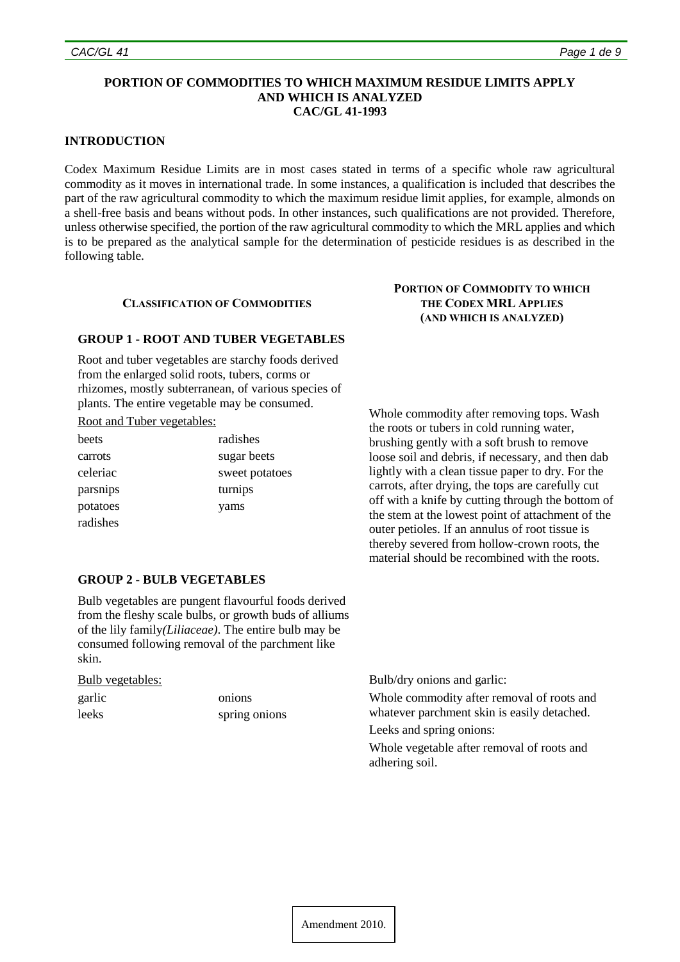## **PORTION OF COMMODITIES TO WHICH MAXIMUM RESIDUE LIMITS APPLY AND WHICH IS ANALYZED CAC/GL 41-1993**

## **INTRODUCTION**

Codex Maximum Residue Limits are in most cases stated in terms of a specific whole raw agricultural commodity as it moves in international trade. In some instances, a qualification is included that describes the part of the raw agricultural commodity to which the maximum residue limit applies, for example, almonds on a shell-free basis and beans without pods. In other instances, such qualifications are not provided. Therefore, unless otherwise specified, the portion of the raw agricultural commodity to which the MRL applies and which is to be prepared as the analytical sample for the determination of pesticide residues is as described in the following table.

## **CLASSIFICATION OF COMMODITIES**

# **GROUP 1 - ROOT AND TUBER VEGETABLES**

Root and tuber vegetables are starchy foods derived from the enlarged solid roots, tubers, corms or rhizomes, mostly subterranean, of various species of plants. The entire vegetable may be consumed.

Root and Tuber vegetables:

| beets    | radishes       |
|----------|----------------|
| carrots  | sugar beets    |
| celeriac | sweet potatoes |
| parsnips | turnips        |
| potatoes | yams           |
| radishes |                |

## **PORTION OF COMMODITY TO WHICH THE CODEX MRL APPLIES (AND WHICH IS ANALYZED)**

Whole commodity after removing tops. Wash the roots or tubers in cold running water, brushing gently with a soft brush to remove loose soil and debris, if necessary, and then dab lightly with a clean tissue paper to dry. For the carrots, after drying, the tops are carefully cut off with a knife by cutting through the bottom of the stem at the lowest point of attachment of the outer petioles. If an annulus of root tissue is thereby severed from hollow-crown roots, the material should be recombined with the roots.

## **GROUP 2 - BULB VEGETABLES**

Bulb vegetables are pungent flavourful foods derived from the fleshy scale bulbs, or growth buds of alliums of the lily family*(Liliaceae)*. The entire bulb may be consumed following removal of the parchment like skin.

| <b>Bulb</b> vegetables: |                                             | Bulb/dry onions and garlic:                |
|-------------------------|---------------------------------------------|--------------------------------------------|
| garlic                  | onions                                      | Whole commodity after removal of roots and |
| spring onions<br>leeks  | whatever parchment skin is easily detached. |                                            |
|                         |                                             | Leeks and spring onions:                   |

Whole vegetable after removal of roots and adhering soil.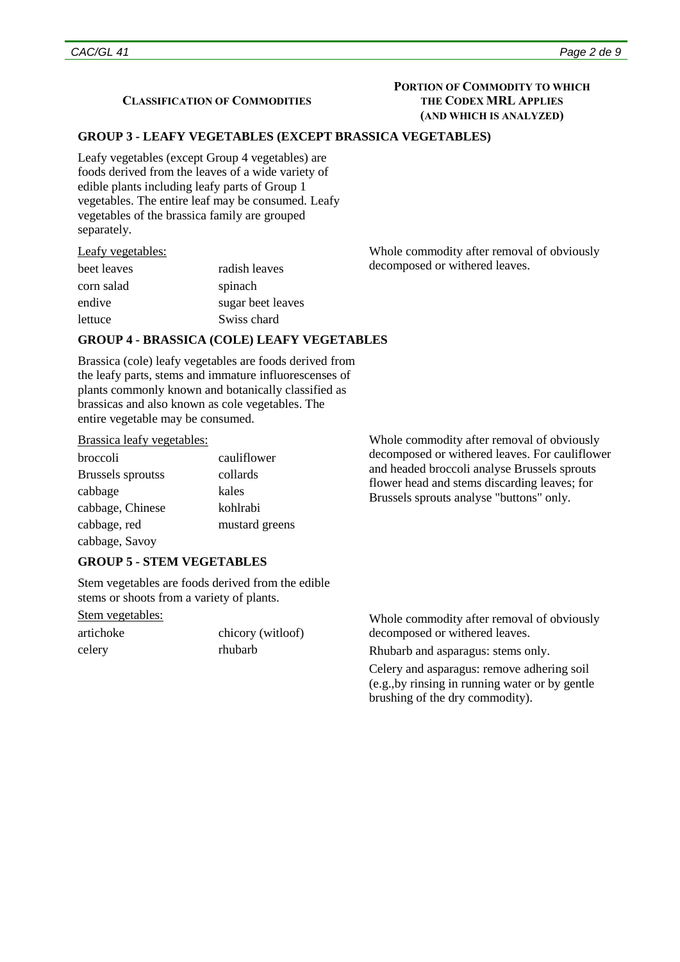## **CLASSIFICATION OF COMMODITIES**

## **PORTION OF COMMODITY TO WHICH THE CODEX MRL APPLIES (AND WHICH IS ANALYZED)**

# **GROUP 3 - LEAFY VEGETABLES (EXCEPT BRASSICA VEGETABLES)**

Leafy vegetables (except Group 4 vegetables) are foods derived from the leaves of a wide variety of edible plants including leafy parts of Group 1 vegetables. The entire leaf may be consumed. Leafy vegetables of the brassica family are grouped separately.

#### Leafy vegetables:

| beet leaves | radish leaves     |
|-------------|-------------------|
| corn salad  | spinach           |
| endive      | sugar beet leaves |
| lettuce     | Swiss chard       |
|             |                   |

Whole commodity after removal of obviously decomposed or withered leaves.

# **GROUP 4 - BRASSICA (COLE) LEAFY VEGETABLES**

Brassica (cole) leafy vegetables are foods derived from the leafy parts, stems and immature influorescenses of plants commonly known and botanically classified as brassicas and also known as cole vegetables. The entire vegetable may be consumed.

## Brassica leafy vegetables:

| broccoli                 | cauliflower    |
|--------------------------|----------------|
| <b>Brussels</b> sproutss | collards       |
| cabbage                  | kales          |
| cabbage, Chinese         | kohlrabi       |
| cabbage, red             | mustard greens |
| cabbage, Savoy           |                |

Whole commodity after removal of obviously decomposed or withered leaves. For cauliflower and headed broccoli analyse Brussels sprouts flower head and stems discarding leaves; for Brussels sprouts analyse "buttons" only.

## **GROUP 5 - STEM VEGETABLES**

Stem vegetables are foods derived from the edible stems or shoots from a variety of plants.

Stem vegetables:

| artichoke | chicory (witloof) |
|-----------|-------------------|
| celery    | rhubarb           |

Whole commodity after removal of obviously decomposed or withered leaves.

Rhubarb and asparagus: stems only.

Celery and asparagus: remove adhering soil (e.g.,by rinsing in running water or by gentle brushing of the dry commodity).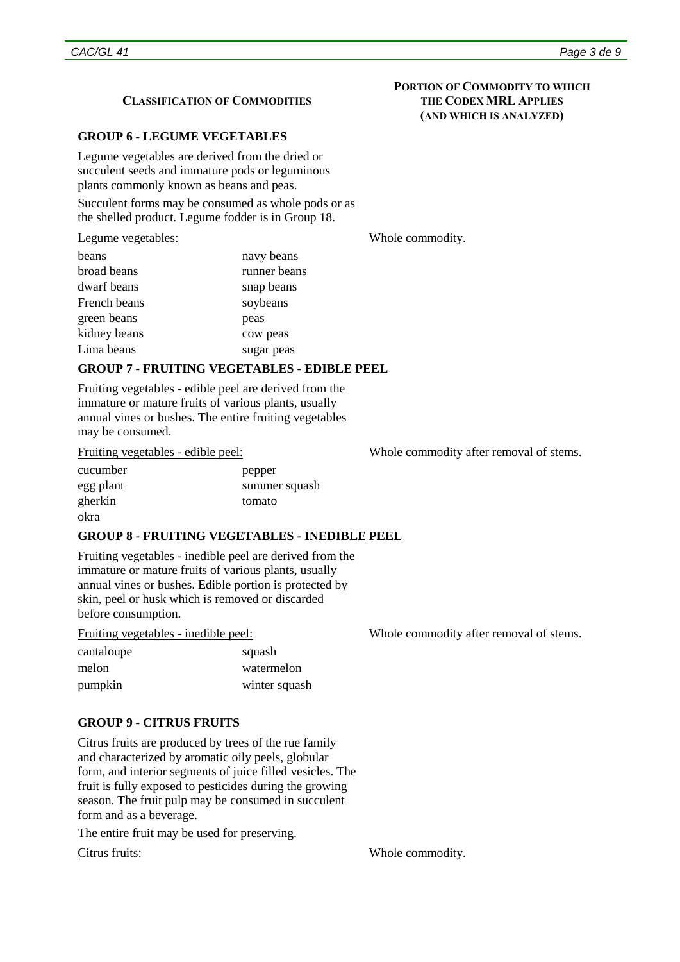## **CLASSIFICATION OF COMMODITIES**

## **GROUP 6 - LEGUME VEGETABLES**

Legume vegetables are derived from the dried or succulent seeds and immature pods or leguminous plants commonly known as beans and peas.

Succulent forms may be consumed as whole pods or as the shelled product. Legume fodder is in Group 18.

#### Legume vegetables:

| navy beans   |
|--------------|
| runner beans |
| snap beans   |
| soybeans     |
| peas         |
| cow peas     |
| sugar peas   |
|              |

## **GROUP 7 - FRUITING VEGETABLES - EDIBLE PEEL**

Fruiting vegetables - edible peel are derived from the immature or mature fruits of various plants, usually annual vines or bushes. The entire fruiting vegetables may be consumed.

## Fruiting vegetables - edible peel:

| cucumber  | pepper        |
|-----------|---------------|
| egg plant | summer squash |
| gherkin   | tomato        |
| okra      |               |

## **GROUP 8 - FRUITING VEGETABLES - INEDIBLE PEEL**

Fruiting vegetables - inedible peel are derived from the immature or mature fruits of various plants, usually annual vines or bushes. Edible portion is protected by skin, peel or husk which is removed or discarded before consumption.

Fruiting vegetables - inedible peel:

| cantaloupe | squash        |
|------------|---------------|
| melon      | watermelon    |
| pumpkin    | winter squash |

Whole commodity after removal of stems.

# **GROUP 9 - CITRUS FRUITS**

Citrus fruits are produced by trees of the rue family and characterized by aromatic oily peels, globular form, and interior segments of juice filled vesicles. The fruit is fully exposed to pesticides during the growing season. The fruit pulp may be consumed in succulent form and as a beverage.

The entire fruit may be used for preserving.

Citrus fruits: Whole commodity.

Whole commodity.

Whole commodity after removal of stems.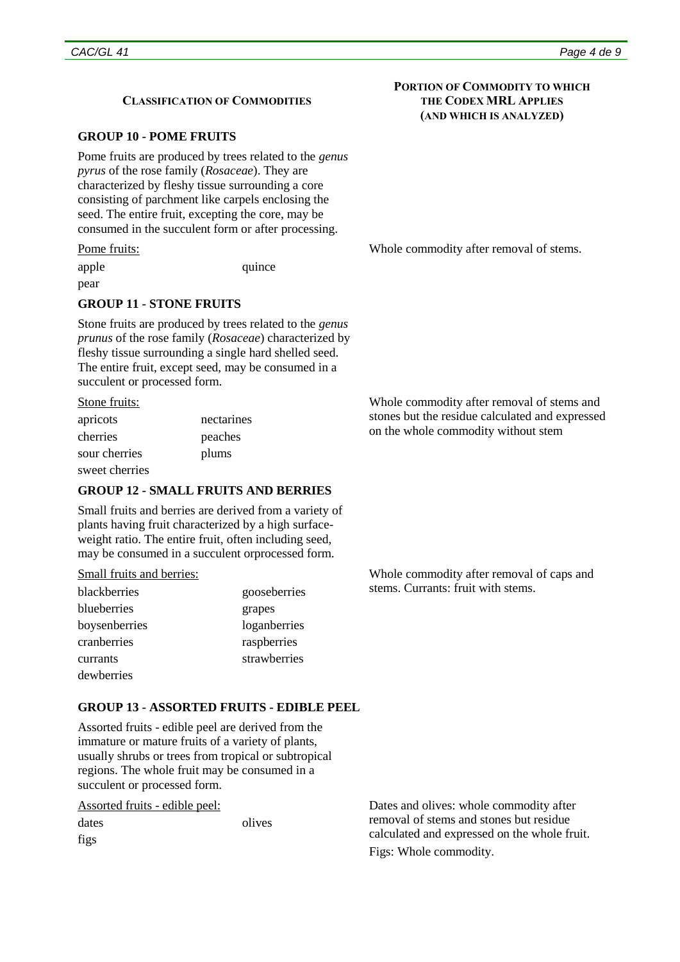## **CLASSIFICATION OF COMMODITIES**

## **GROUP 10 - POME FRUITS**

Pome fruits are produced by trees related to the *genus pyrus* of the rose family (*Rosaceae*). They are characterized by fleshy tissue surrounding a core consisting of parchment like carpels enclosing the seed. The entire fruit, excepting the core, may be consumed in the succulent form or after processing.

## Pome fruits:

apple quince

pear

## **GROUP 11 - STONE FRUITS**

Stone fruits are produced by trees related to the *genus prunus* of the rose family (*Rosaceae*) characterized by fleshy tissue surrounding a single hard shelled seed. The entire fruit, except seed, may be consumed in a succulent or processed form.

## Stone fruits:

| apricots       | nectarines |
|----------------|------------|
| cherries       | peaches    |
| sour cherries  | plums      |
| sweet cherries |            |

## **GROUP 12 - SMALL FRUITS AND BERRIES**

Small fruits and berries are derived from a variety of plants having fruit characterized by a high surfaceweight ratio. The entire fruit, often including seed, may be consumed in a succulent orprocessed form.

## Small fruits and berries:

| blackberries  | gooseberries |
|---------------|--------------|
| blueberries   | grapes       |
| boysenberries | loganberries |
| cranberries   | raspberries  |
| currants      | strawberries |
| dewberries    |              |

Whole commodity after removal of stems.

Whole commodity after removal of stems and stones but the residue calculated and expressed on the whole commodity without stem

Whole commodity after removal of caps and stems. Currants: fruit with stems.

# **GROUP 13 - ASSORTED FRUITS - EDIBLE PEEL**

Assorted fruits - edible peel are derived from the immature or mature fruits of a variety of plants, usually shrubs or trees from tropical or subtropical regions. The whole fruit may be consumed in a succulent or processed form.

Assorted fruits - edible peel: dates olives

figs

Dates and olives: whole commodity after removal of stems and stones but residue calculated and expressed on the whole fruit. Figs: Whole commodity.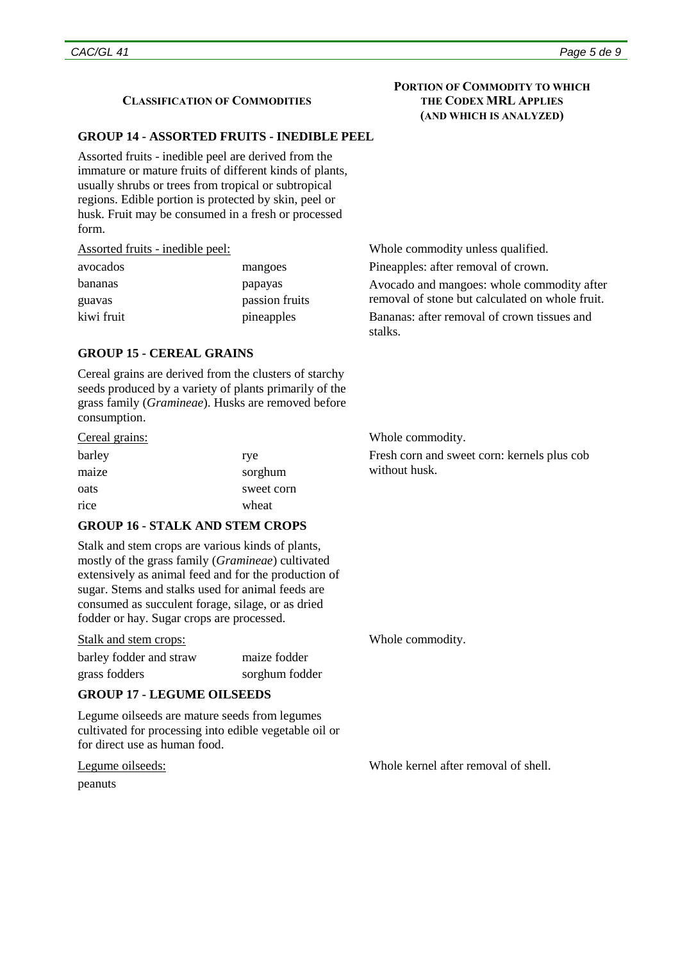## **CLASSIFICATION OF COMMODITIES**

## **GROUP 14 - ASSORTED FRUITS - INEDIBLE PEEL**

Assorted fruits - inedible peel are derived from the immature or mature fruits of different kinds of plants, usually shrubs or trees from tropical or subtropical regions. Edible portion is protected by skin, peel or husk. Fruit may be consumed in a fresh or processed form.

Assorted fruits - inedible peel:

| avocados   | mangoes        |
|------------|----------------|
| bananas    | papayas        |
| guavas     | passion fruits |
| kiwi fruit | pineapples     |

**GROUP 15 - CEREAL GRAINS**

Cereal grains are derived from the clusters of starchy seeds produced by a variety of plants primarily of the grass family (*Gramineae*). Husks are removed before consumption.

#### Cereal grains:

| barley | rye        |
|--------|------------|
| maize  | sorghum    |
| oats   | sweet corn |
| rice   | wheat      |

# **GROUP 16 - STALK AND STEM CROPS**

Stalk and stem crops are various kinds of plants, mostly of the grass family (*Gramineae*) cultivated extensively as animal feed and for the production of sugar. Stems and stalks used for animal feeds are consumed as succulent forage, silage, or as dried fodder or hay. Sugar crops are processed.

Stalk and stem crops:

| barley fodder and straw | maize fodder   |
|-------------------------|----------------|
| grass fodders           | sorghum fodder |

# **GROUP 17 - LEGUME OILSEEDS**

Legume oilseeds are mature seeds from legumes cultivated for processing into edible vegetable oil or for direct use as human food.

Legume oilseeds:

peanuts

Whole commodity unless qualified.

Pineapples: after removal of crown.

Avocado and mangoes: whole commodity after removal of stone but calculated on whole fruit.

Bananas: after removal of crown tissues and stalks.

Whole commodity.

Fresh corn and sweet corn: kernels plus cob without husk.

Whole commodity.

Whole kernel after removal of shell.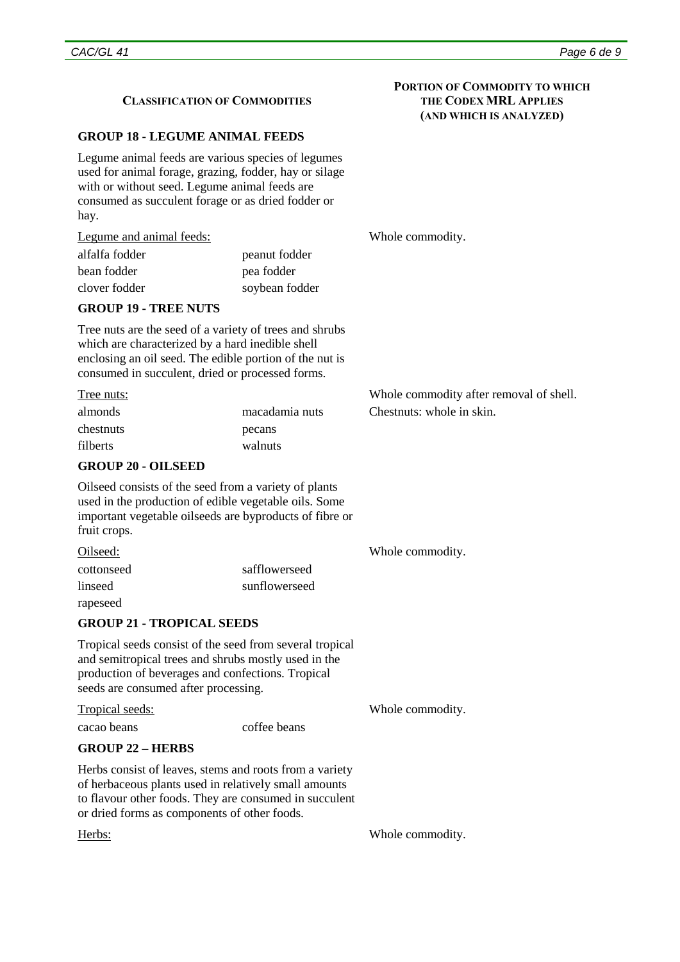## **CLASSIFICATION OF COMMODITIES**

## **GROUP 18 - LEGUME ANIMAL FEEDS**

Legume animal feeds are various species of legumes used for animal forage, grazing, fodder, hay or silage with or without seed. Legume animal feeds are consumed as succulent forage or as dried fodder or hay.

### Legume and animal feeds:

| alfalfa fodder | peanut fodder  |
|----------------|----------------|
| bean fodder    | pea fodder     |
| clover fodder  | soybean fodder |

## **GROUP 19 - TREE NUTS**

Tree nuts are the seed of a variety of trees and shrubs which are characterized by a hard inedible shell enclosing an oil seed. The edible portion of the nut is consumed in succulent, dried or processed forms.

| Tree nuts: |                |
|------------|----------------|
| almonds    | macadamia nuts |
| chestnuts  | pecans         |
| filberts   | walnuts        |

## **GROUP 20 - OILSEED**

Oilseed consists of the seed from a variety of plants used in the production of edible vegetable oils. Some important vegetable oilseeds are byproducts of fibre or fruit crops.

## Oilseed:

cottonseed safflowerseed linseed sunflowerseed rapeseed

## **GROUP 21 - TROPICAL SEEDS**

Tropical seeds consist of the seed from several tropical and semitropical trees and shrubs mostly used in the production of beverages and confections. Tropical seeds are consumed after processing.

| Tropical seeds: |              | Whole commodity. |
|-----------------|--------------|------------------|
| cacao beans     | coffee beans |                  |

# **GROUP 22 – HERBS**

Herbs consist of leaves, stems and roots from a variety of herbaceous plants used in relatively small amounts to flavour other foods. They are consumed in succulent or dried forms as components of other foods.

Whole commodity.

Whole commodity after removal of shell. Chestnuts: whole in skin.

Herbs: Whole commodity.

Whole commodity.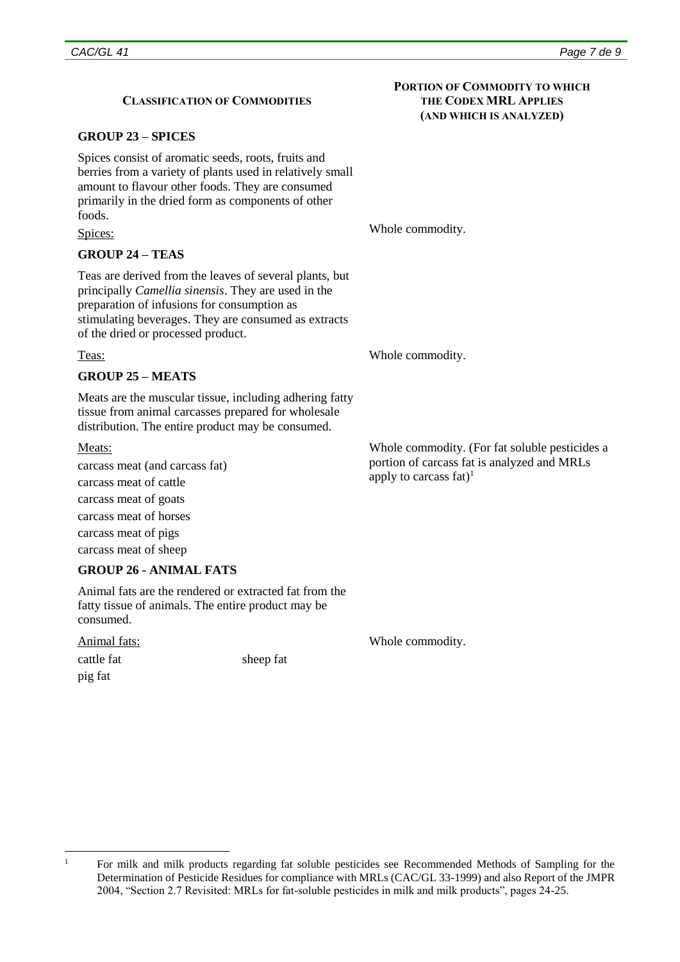Spices consist of aromatic seeds, roots, fruits and berries from a variety of plants used in relatively small amount to flavour other foods. They are consumed primarily in the dried form as components of other foods.

**CLASSIFICATION OF COMMODITIES**

# **GROUP 24 – TEAS**

**GROUP 23 – SPICES**

Teas are derived from the leaves of several plants, but principally *Camellia sinensis*. They are used in the preparation of infusions for consumption as stimulating beverages. They are consumed as extracts of the dried or processed product.

# **GROUP 25 – MEATS**

Meats are the muscular tissue, including adhering fatty tissue from animal carcasses prepared for wholesale distribution. The entire product may be consumed.

## Meats:

carcass meat (and carcass fat) carcass meat of cattle carcass meat of goats carcass meat of horses carcass meat of pigs carcass meat of sheep

# **GROUP 26 - ANIMAL FATS**

Animal fats are the rendered or extracted fat from the fatty tissue of animals. The entire product may be consumed.

Animal fats:

pig fat

<u>.</u>

cattle fat sheep fat

Spices: Whole commodity.

Teas: Whole commodity.

Whole commodity. (For fat soluble pesticides a portion of carcass fat is analyzed and MRLs apply to carcass  $fat)^1$ 

Whole commodity.

<sup>&</sup>lt;sup>1</sup> For milk and milk products regarding fat soluble pesticides see Recommended Methods of Sampling for the Determination of Pesticide Residues for compliance with MRLs (CAC/GL 33-1999) and also Report of the JMPR 2004, "Section 2.7 Revisited: MRLs for fat-soluble pesticides in milk and milk products", pages 24-25.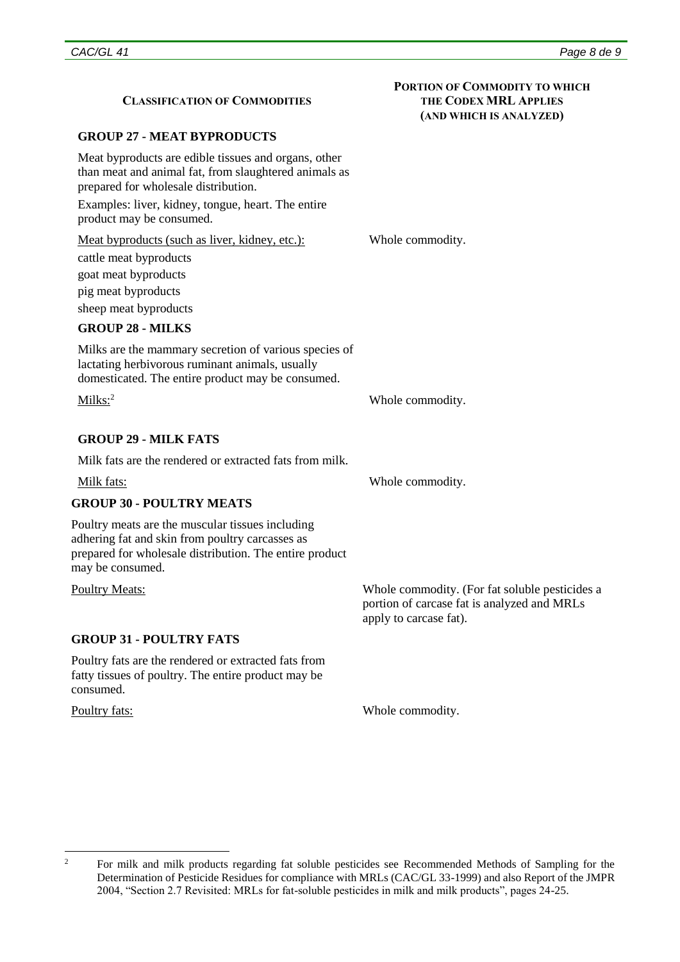| <b>CLASSIFICATION OF COMMODITIES</b>                                                                                                                                               | PORTION OF COMMODITY TO WHICH<br>THE CODEX MRL APPLIES<br>(AND WHICH IS ANALYZED)                                       |
|------------------------------------------------------------------------------------------------------------------------------------------------------------------------------------|-------------------------------------------------------------------------------------------------------------------------|
| <b>GROUP 27 - MEAT BYPRODUCTS</b>                                                                                                                                                  |                                                                                                                         |
| Meat byproducts are edible tissues and organs, other<br>than meat and animal fat, from slaughtered animals as<br>prepared for wholesale distribution.                              |                                                                                                                         |
| Examples: liver, kidney, tongue, heart. The entire<br>product may be consumed.                                                                                                     |                                                                                                                         |
| <u>Meat byproducts (such as liver, kidney, etc.):</u><br>cattle meat byproducts<br>goat meat byproducts<br>pig meat byproducts<br>sheep meat byproducts                            | Whole commodity.                                                                                                        |
| <b>GROUP 28 - MILKS</b>                                                                                                                                                            |                                                                                                                         |
| Milks are the mammary secretion of various species of<br>lactating herbivorous ruminant animals, usually<br>domesticated. The entire product may be consumed.                      |                                                                                                                         |
| $Milks:$ <sup>2</sup>                                                                                                                                                              | Whole commodity.                                                                                                        |
| <b>GROUP 29 - MILK FATS</b>                                                                                                                                                        |                                                                                                                         |
| Milk fats are the rendered or extracted fats from milk.                                                                                                                            |                                                                                                                         |
| Milk fats:                                                                                                                                                                         | Whole commodity.                                                                                                        |
| <b>GROUP 30 - POULTRY MEATS</b>                                                                                                                                                    |                                                                                                                         |
| Poultry meats are the muscular tissues including<br>adhering fat and skin from poultry carcasses as<br>prepared for wholesale distribution. The entire product<br>may be consumed. |                                                                                                                         |
| <b>Poultry Meats:</b>                                                                                                                                                              | Whole commodity. (For fat soluble pesticides a<br>portion of carcase fat is analyzed and MRLs<br>apply to carcase fat). |
|                                                                                                                                                                                    |                                                                                                                         |

**GROUP 31 - POULTRY FATS**

Poultry fats are the rendered or extracted fats from fatty tissues of poultry. The entire product may be consumed.

Poultry fats: Whole commodity.

 $\sqrt{2}$ <sup>2</sup> For milk and milk products regarding fat soluble pesticides see Recommended Methods of Sampling for the Determination of Pesticide Residues for compliance with MRLs (CAC/GL 33-1999) and also Report of the JMPR 2004, "Section 2.7 Revisited: MRLs for fat-soluble pesticides in milk and milk products", pages 24-25.